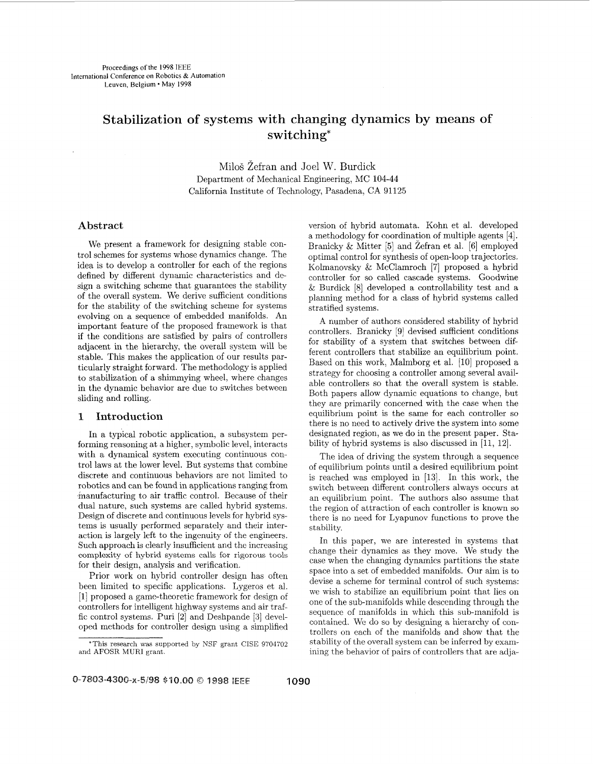# Stabilization **of** systems with changing dynamics by means of switching\*

Milo5 Zefran and Joel W. Burdick Department of Mechanical Engineering, MC 104-44 California Institute of Technology, Pasadena, CA 91125

## **Abstract**

We present a framework for designing stable control schemes for systems whose dynamics change. The idea is to develop a controller for each of the regions defined by different dynamic characteristics and design a switching scheme that guarantees the stability of the overall system. We derive sufficient conditions for the stability of the switching scheme for systems evolving on a sequence of embedded manifolds. An important feature of the proposed framework is that if the conditions are satisfied by pairs of controllers adjacent in the hierarchy, the overall system will be stable. This makes the application of our results particularly straight forward. The methodology is applied to stabilization of a shimmying wheel, where changes in the dynamic behavior are due to switches between sliding and rolling.

# **1 Introduction**

In a typical robotic application, a subsystem performing reasoning at a higher, symbolic level, interacts with a dynamical system executing continuous control laws at the lower level. But systems that combine discrete and continuous behaviors are not limited to robotics and can be found in applications ranging from 'manufacturing to air traffic control. Because of their dual nature, such systems are called hybrid systems. Design of discrete and continuous levels for hybrid systems is usually performed separately and their interaction is largely left to the ingenuity of the engineers. Such approach is clearly insufficient and the increasing complexity of hybrid systems calls for rigorous tools for their design, analysis and verification.

Prior work on hybrid controller design has often been limited to specific applications. Lygeros et al. [1] proposed a game-theoretic framework for design of controllers for intelligent highway systems and air traffic control systems. Puri [2] and Deshpande *[3]* developed methods for controller design using a simplified version of hybrid automata. Kohn et al. developed a methodology for coordination of multiple agents [4]. Branicky & Mitter [5] and Zefran et al. [6] employed optimal control for synthesis of open-loop trajectories. Kolmanovsky & McClamroch [7] proposed a hybrid controller for so called cascade systems. Goodwine & Burdick [8] developed a controllability test and a planning method for a class of hybrid systems called stratified systems.

**A** number of authors considered stability of hybrid controllers. Branicky [9] devised sufficient conditions for stability of a system that switches between different controllers that stabilize an equilibrium point. Based on this work, Malmborg et al. [10] proposed a strategy for choosing a controller among several available controllers so that the overall system is stable. Both papers allow dynamic equations to change, but they are primarily concerned with the case when the equilibrium point is the same for each controller so there is no need to actively drive the system into some designated region, as we do in the present paper. Stability of hybrid systems is also discussed in [11, 12].

The idea of driving the system through a sequence of equilibrium points until a desired equilibrium point is reached was employed in [13]. In this work, the switch between different controllers always occurs at an equilibrium point. The authors also assume that the region of attraction of each controller is known so there is no need for Lyapunov functions to prove the stability.

In this paper, we are interested in systems that change their dynamics as they move. We study the case when the changing dynamics partitions the state space into a set of embedded manifolds. Our aim is to devise a scheme for terminal control of such systems: we wish to stabilize an equilibrium point that lies on one of the sub-manifolds while descending through the sequence of manifolds in which this sub-manifold is contained. We do so by designing a hierarchy of controllers on each of the manifolds and show that the stability of the overall system can be inferred by examining the behavior of pairs of controllers that are adja-

<sup>\*</sup>This research was supported by NSF grant CISE 9704702 and AFOSR MURI grant.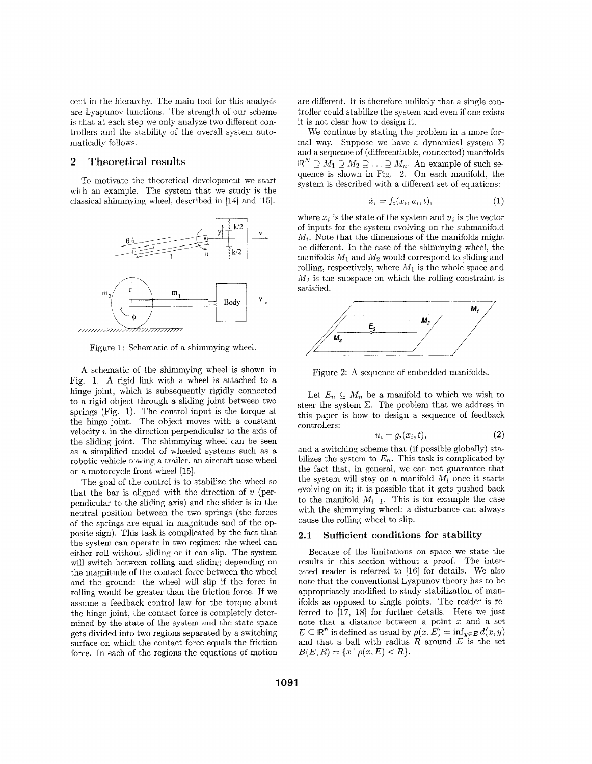cent in the hierarchy. The main tool for this analysis are Lyapunov functions. The strength of our scheme is that at each step we only analyze two different controllers and the stability of the overall system automatically follows.

## **2 Theoretical results**

To motivate the theoretical development 'we start with an example. The system that we study is the classical shimmying wheel, described in [14] and [15].



Figure 1: Schematic of a shimmying wheel.

A schematic of the shimmying wheel is shown in Fig. 1. A rigid link with a wheel is attached to a hinge joint, which is subsequently rigidly connected to a rigid object through a sliding joint between two springs (Fig. 1). The control input is the torque at the hinge joint. The object moves with a constant velocity  $v$  in the direction perpendicular to the axis of the sliding joint. The shimmying wheel can be seen as a simplified model of wheeled systems such as a robotic vehicle towing a trailer, an aircraft nose wheel or a motorcycle front wheel [15].

The goal of the control is to stabilize the wheel so that the bar is aligned with the direction of  $v$  (perpendicular to the sliding axis) and the slider is in the neutral position between the two springs (the forces of the springs are equal in magnitude and of the opposite sign). This task is complicated by the fact that the system can operate in two regimes: the wheel can either roll without sliding or it can slip. The system .will switch between rolling and sliding depending on the magnitude of the contact force between the wheel and the ground: the wheel will slip if the force in rolling would be greater than the friction force. If we assume a feedback control law for the torque about the hinge joint, the contact force is completely determined by the state of the system and the state space gets divided into two regions separated by a switching surface on which the contact force equals the friction force. In each of the regions the equations of motion are different. It is therefore unlikely that a single controller could stabilize the system and even if one exists it is not clear how to design it.

We continue by stating the problem in a more formal way. Suppose we have a dynamical system  $\Sigma$ and a sequence of (differentiable, connected) manifolds  $\mathbb{R}^N \supseteq M_1 \supseteq M_2 \supseteq \ldots \supseteq M_n$ . An example of such sequence is shown in Fig. **2** On each manifold, the system is described with a different set of equations:

$$
\dot{x}_i = f_i(x_i, u_i, t), \tag{1}
$$

where  $x_i$  is the state of the system and  $u_i$  is the vector of inputs for the system evolving on the submanifold *Mz.* Note that the dimensions of the manifolds might be different. In the case of the shimmying wheel, the manifolds *MI* and *M2* would correspond to sliding and rolling, respectively, where  $M_1$  is the whole space and  $M_2$  is the subspace on which the rolling constraint is satisfied.



Figure **2:** A sequence of embedded manifolds.

Let  $E_n \subseteq M_n$  be a manifold to which we wish to steer the system  $\Sigma$ . The problem that we address in this paper is how to design a sequence of feedback controllers:

$$
u_i = g_i(x_i, t), \tag{2}
$$

and a switching scheme that (if possible globally) stabilizes the system to  $E_n$ . This task is complicated by the fact that, in general, we can not guarantee that the system will stay on a manifold  $M_i$  once it starts evolving on it; it is possible that it gets pushed back to the manifold  $M_{i-1}$ . This is for example the case with the shimmying wheel: a disturbance can always cause the rolling wheel to slip.

#### **2.1 Sufficient conditions for stability**

Because of the limitations on space we state the results in this section without a proof. The interested reader is referred to [IS] for details. We also note that the conventional Lyapunov theory has to be appropriately modified to study stabilization of manifolds as opposed to single poims. The reader is referred to  $[17, 18]$  for further details. Here we just note that a distance between a point *x* and a set  $E \subseteq \mathbb{R}^n$  is defined as usual by  $\rho(x, E) = \inf_{y \in E} d(x, y)$ and that a ball with radius *R* around *E* is the set  $B(E, R) = \{x \mid \rho(x, E) < R\}.$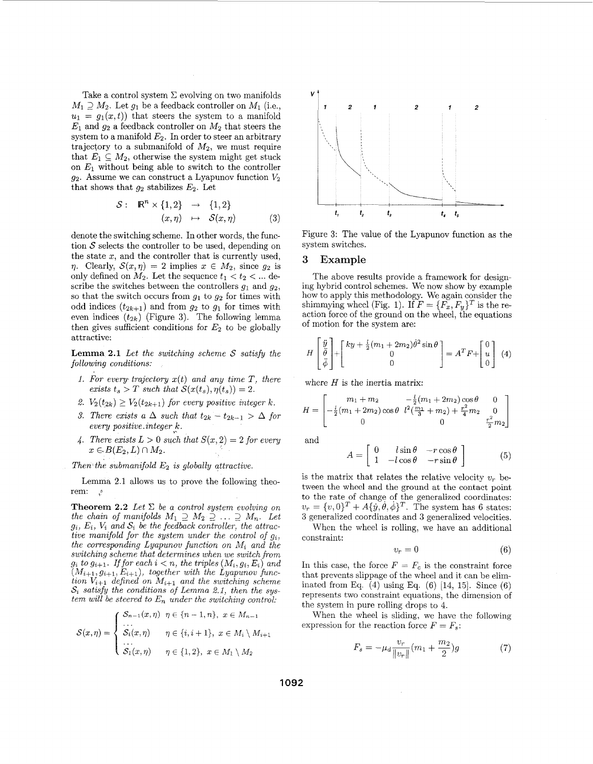Take a control system  $\Sigma$  evolving on two manifolds  $M_1 \supseteq M_2$ . Let  $g_1$  be a feedback controller on  $M_1$  (i.e.,  $u_1 = g_1(x,t)$  that steers the system to a manifold  $E_1$  and  $g_2$  a feedback controller on  $M_2$  that steers the system to a manifold *E2.* In order to steer an arbitrary trajectory to a submanifold of *M2,* we must require that  $E_1 \subseteq M_2$ , otherwise the system might get stuck on *El* without being able to switch to the controller  $g_2$ . Assume we can construct a Lyapunov function  $V_2$ that shows that  $g_2$  stabilizes  $E_2$ . Let

$$
S: \mathbb{R}^n \times \{1,2\} \rightarrow \{1,2\}
$$
  

$$
(x,\eta) \rightarrow S(x,\eta)
$$
 (3)

denote the switching scheme. In other words, the function *S* selects the controller to be used, depending on the state  $x$ , and the controller that is currently used, *n*. Clearly,  $S(x, \eta) = 2$  implies  $x \in M_2$ , since  $g_2$  is only defined on  $M_2$ . Let the sequence  $t_1 < t_2 < ...$  describe the switches between the controllers  $g_1$  and  $g_2$ , so that the switch occurs from  $g_1$  to  $g_2$  for times with odd indices  $(t_{2k+1})$  and from  $g_2$  to  $g_1$  for times with even indices  $(t_{2k})$  (Figure 3). The following lemma then gives sufficient conditions for  $E_2$  to be globally attractive:

**Lemma 2.1** *Let the switching scheme S satisfy the following conditions:* 

- *1. For every trajectory x(t) and any time T, there exists*  $t_s > T$  *such that*  $S(x(t_s), \eta(t_s)) = 2$ .
- 2.  $V_2(t_{2k}) \geq V_2(t_{2k+1})$  for every positive integer k.
- 3. There exists a  $\Delta$  such that  $t_{2k} t_{2k-1} > \Delta$  for *eveq positive .integer,k.*
- *4. There exists*  $L > 0$  *such that*  $S(x, 2) = 2$  *for every*  $x \in B(E_2, L) \cap M_2$ .
- *Then the submanifold E2 is globally attractive.*

Lemma 2.1 allows us to prove the following theorem:  $\mathcal{L}$ 

**Theorem 2.2** *Let*  $\Sigma$  *be a control system evolving on the chain of manifolds*  $M_1 \supseteq M_2 \supseteq \ldots \supseteq M_n$ . Let  $g_i$ ,  $E_i$ ,  $V_i$  and  $S_i$  be the feedback controller, the attrac*tive manifold for the system under the control of*  $g_i$ *, the corresponding Lyapunov function on Mi and the switching scheme that determines when we switch from*  $g_i$  to  $g_{i+1}$ . If for each  $i < n$ , the triples  $(M_i, g_i, E_i)$  and  $(M_{i+1}, g_{i+1}, E_{i+1})$ , together with the Lyapunov func*tion*  $V_{i+1}$  *defined on*  $M_{i+1}$  *and the switching scheme*  $S_i$  *satisfy the conditions of Lemma 2.1, then the system will be steered to*  $E_n$  *under the switching control:* 

$$
\mathcal{S}(x,\eta) = \begin{cases} \nS_{n-1}(x,\eta) & \eta \in \{n-1,n\}, \ x \in M_{n-1} \\ \n\vdots & \vdots \\ \nS_i(x,\eta) & \eta \in \{i,i+1\}, \ x \in M_i \setminus M_{i+1} \\ \n\vdots & \vdots \\ \nS_1(x,\eta) & \eta \in \{1,2\}, \ x \in M_1 \setminus M_2 \n\end{cases}
$$



Figure **3:** The value of the Lyapunov function as the system switches.

#### **3 Example**

The above results provide a framework for designing hybrid control schemes. We now show by example how to apply this methodology. We again consider the shimmying wheel (Fig. 1). If  $F = \{F_x, F_y\}^T$  is the reaction force of the ground on the wheel, the equations of motion for the system are:

$$
H\begin{bmatrix} \ddot{y} \\ \ddot{\theta} \\ \ddot{\phi} \end{bmatrix} + \begin{bmatrix} ky + \frac{1}{2}(m_1 + 2m_2)\dot{\theta}^2 \sin \theta \\ 0 \\ 0 \end{bmatrix} = A^T F + \begin{bmatrix} 0 \\ u \\ 0 \end{bmatrix} \tag{4}
$$

where *H* is the inertia matrix:

$$
H = \begin{bmatrix} m_1 + m_2 & -\frac{1}{2}(m_1 + 2m_2)\cos\theta & 0\\ -\frac{1}{2}(m_1 + 2m_2)\cos\theta & l^2(\frac{m_1}{3} + m_2) + \frac{r^2}{4}m_2 & 0\\ 0 & 0 & \frac{r^2}{2}m_2 \end{bmatrix}
$$

and

$$
A = \begin{bmatrix} 0 & l\sin\theta & -r\cos\theta \\ 1 & -l\cos\theta & -r\sin\theta \end{bmatrix}
$$
 (5)

is the matrix that relates the relative velocity  $v_r$  between the wheel and the ground at the contact point to the rate of change of the generalized coordinates:  $v_r = \{v, 0\}^T + A\{\dot{y}, \dot{\theta}, \dot{\phi}\}^T$ . The system has 6 states: **3** generalized coordinates and **3** generalized velocities.

When the wheel is rolling, we have an additional constraint:

$$
v_r = 0 \tag{6}
$$

In this case, the force  $F = F_c$  is the constraint force that prevents slippage of the wheel and it can be eliminated from Eq.  $(4)$  using Eq.  $(6)$  [14, 15]. Since  $(6)$ represents two constraint equations, the dimension of the system in pure rolling drops to 4.

When the wheel is sliding, we have the following expression for the reaction force  $F = F_s$ :

$$
F_s = -\mu_d \frac{v_r}{\|v_r\|} (m_1 + \frac{m_2}{2})g \tag{7}
$$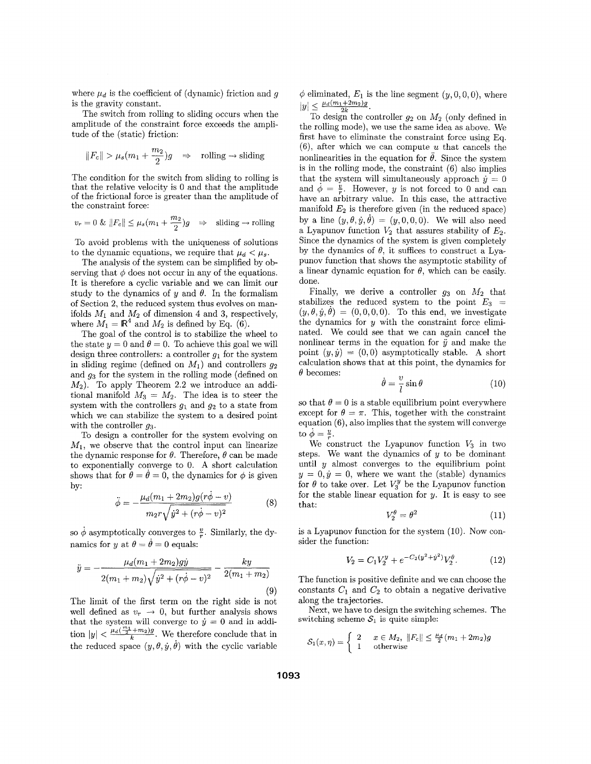where  $\mu_d$  is the coefficient of (dynamic) friction and  $g$ is the gravity constant.

The switch from rolling to sliding occurs when the amplitude of the constraint force exceeds the amplitude of the (static) friction:

$$
||F_c|| > \mu_s(m_1 + \frac{m_2}{2})g \Rightarrow
$$
 rolling  $\rightarrow$  sliding

The condition for the switch from sliding to rolling is that the relative velocity is 0 and that the amplitude of the frictional force is greater than the amplitude of the constraint force:

$$
v_r = 0 \& \Vert F_c \Vert \leq \mu_s (m_1 + \frac{m_2}{2}) g \quad \Rightarrow \quad \text{sliding} \rightarrow \text{rolling}
$$

To avoid problems with the uniqueness of solutions to the dynamic equations, we require that  $\mu_d < \mu_s$ .

The analysis of the system can be simplified by observing that  $\phi$  does not occur in any of the equations. It is therefore a cyclic variable and we can limit our study to the dynamics of  $y$  and  $\theta$ . In the formalism of Section 2, the reduced system thus evolves on manifolds  $M_1$  and  $M_2$  of dimension 4 and 3, respectively, where  $M_1 = \mathbb{R}^4$  and  $M_2$  is defined by Eq. (6).

The goal of the control is to stabilize the wheel to the state  $y = 0$  and  $\theta = 0$ . To achieve this goal we will design three controllers: a controller  $q_1$  for the system in sliding regime (defined on  $M_1$ ) and controllers  $q_2$ and **g3** for the system in the rolling mode (defined on  $M_2$ ). To apply Theorem 2.2 we introduce an additional manifold  $M_3 = M_2$ . The idea is to steer the system with the controllers  $g_1$  and  $g_2$  to a state from which we can stabilize the system to a desired point with the controller *93.* 

To design a controller for the system evolving on  $M_1$ , we observe that the control input can linearize the dynamic response for  $\theta$ . Therefore,  $\theta$  can be made to exponentially converge to 0. **A** short calculation shows that for  $\theta = \theta = 0$ , the dynamics for  $\phi$  is given by:

$$
\ddot{\phi} = -\frac{\mu_d (m_1 + 2m_2)g(r\dot{\phi} - v)}{m_2 r \sqrt{\dot{y}^2 + (r\dot{\phi} - v)^2}}
$$
(8)

so  $\phi$  asymptotically converges to  $\frac{v}{r}$ . Similarly, the dynamics for y at  $\theta = \dot{\theta} = 0$  equals:

$$
\ddot{y} = -\frac{\mu_d(m_1 + 2m_2)gy}{2(m_1 + m_2)\sqrt{\dot{y}^2 + (r\dot{\phi} - v)^2}} - \frac{ky}{2(m_1 + m_2)}
$$
\n(9)

The limit of the first term on the right side is not well defined as  $v_r \rightarrow 0$ , but further analysis shows that the system will converge to  $\dot{y} = 0$  and in addition  $|y| < \frac{\mu_d(\frac{m_1}{2}+m_2)g}{k}$ . We therefore conclude that in the reduced space  $(y, \theta, \dot{y}, \dot{\theta})$  with the cyclic variable

 $\phi$  eliminated,  $E_1$  is the line segment  $(y, 0, 0, 0)$ , where  $|y| \leq \frac{\mu_d(m_1+2m_2)g}{2k}$ .

To design the controller  $g_2$  on  $M_2$  (only defined in the rolling mode), we use the same idea as above. We first have to eliminate the constraint force using Eq. (B), after which we can compute *U* that cancels the nonlinearities in the equation for  $\ddot{\theta}$ . Since the system is in the rolling mode, the constraint (6) also implies that the system will simultaneously approach  $\dot{y} = 0$ and  $\phi = \frac{v}{r}$ . However, y is not forced to 0 and can have an arbitrary value. In this case, the attractive manifold  $E_2$  is therefore given (in the reduced space) by a line  $(y, \theta, \dot{y}, \dot{\theta}) = (y, 0, 0, 0)$ . We will also need a Lyapunov function  $V_2$  that assures stability of  $E_2$ . Since the dynamics of the system is given completely by the dynamics of  $\theta$ , it suffices to construct a Lyapunov function that shows the asymptotic stability of a linear dynamic equation for  $\theta$ , which can be easily. done.

Finally, we derive a controller  $g_3$  on  $M_2$  that stabilizes the reduced system to the point  $E_3$  =  $(y, \theta, \dot{y}, \dot{\theta}) = (0, 0, 0, 0)$ . To this end, we investigate the dynamics for  $y$  with the constraint force eliminated. We could see that we can again cancel the nonlinear terms in the equation for  $\ddot{y}$  and make the point  $(y, \dot{y}) = (0,0)$  asymptotically stable. A short calculation shows that at this point, the dynamics for  $\theta$  becomes:

$$
\dot{\theta} = \frac{v}{l} \sin \theta \tag{10}
$$

so that  $\theta = 0$  is a stable equilibrium point everywhere except for  $\theta = \pi$ . This, together with the constraint equation  $(6)$ , also implies that the system will converge to  $\dot{\phi} = \frac{v}{r}$ .

We construct the Lyapunov function  $V_3$  in two steps. We want the dynamics of  $y$  to be dominant until  $y$  almost converges to the equilibrium point  $y = 0, \dot{y} = 0$ , where we want the (stable) dynamics for  $\theta$  to take over. Let  $V_3^y$  be the Lyapunov function for the stable linear equation for  $y$ . It is easy to see that:

$$
V_2^{\theta} = \theta^2 \tag{11}
$$

is a Lyapunov function for the system (10). Now consider the function:

$$
V_2 = C_1 V_2^y + e^{-C_2(y^2 + \dot{y}^2)} V_2^{\theta}.
$$
 (12)

The function is positive definite and we can choose the constants  $C_1$  and  $C_2$  to obtain a negative derivative along the trajectories.

Next, we have to design the switching schemes. The switching scheme  $S_1$  is quite simple:

$$
\mathcal{S}_1(x,\eta) = \begin{cases} 2 & x \in M_2, \ \|F_c\| \leq \frac{\mu_d}{2}(m_1 + 2m_2)g \\ 1 & \text{otherwise} \end{cases}
$$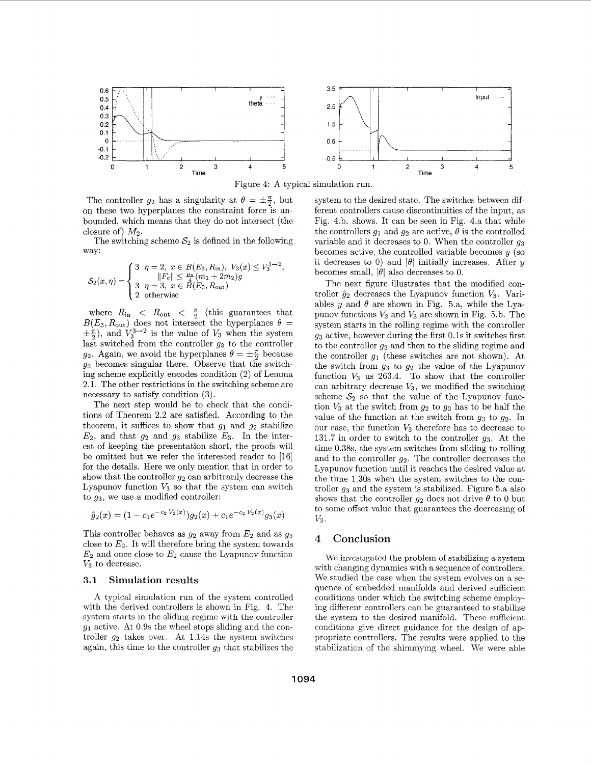

Figure 4: **A** typical simulation run.

The controller  $g_2$  has a singularity at  $\theta = \pm \frac{\pi}{2}$ , but on these two hyperplanes the constraint force is unbounded, which means that they do not intersect (the closure of)  $M_2$ .

The switching scheme  $S_2$  is defined in the following way:

$$
\mathcal{S}_2(x,\eta) = \begin{cases} 3 & \eta = 2, \ x \in B(E_3, R_{\text{in}}), \ V_3(x) \le V_3^{3\to 2}, \\ & \|F_c\| \le \frac{\mu_4}{4}(m_1 + 2m_2)g \\ 3 & \eta = 3, \ x \in B(E_3, R_{\text{out}}) \\ 2 & \text{otherwise} \end{cases}
$$

where  $R_{\text{in}} < R_{\text{out}} < \frac{\pi}{2}$  (this guarantees that  $B(E_3, R_{\text{out}})$  does not intersect the hyperplanes  $\theta =$  $(\pm \frac{\pi}{2})$ , and  $V_3^{3\rightarrow 2}$  is the value of  $V_3$  when the system last switched from the controller *g3* to the controller *g*<sub>2</sub>. Again, we avoid the hyperplanes  $\theta = \pm \frac{\pi}{2}$  because *g3* becomes singular there. Observe that the switching scheme explicitly encodes condition (2) of Lemma 2.1. The other restrictions in the switching scheme are necessary to satisfy condition **(3).** 

The next step would be to check that the conditions of Theorem 2.2 are satisfied. According to the theorem, it suffices to show that  $g_1$  and  $g_2$  stabilize  $E_2$ , and that  $g_2$  and  $g_3$  stabilize  $E_3$ . In the interest of keeping the presentation short, the proofs will be omitted but we refer the interested reader to [16] for the details. Here we only mention that in order to show that the controller  $g_2$  can arbitrarily decrease the Lyapunov function  $V_3$  so that the system can switch to *93,* we use a modified controller:

$$
\hat{g}_2(x) = (1 - c_1 e^{-c_2 V_2(x)}) g_2(x) + c_1 e^{-c_2 V_2(x)} g_3(x)
$$

This controller behaves as *g2* away from *E2* and as *g3*  close to  $E_2$ . It will therefore bring the system towards  $E_2$  and once close to  $E_2$  cause the Lyapunov function *V3* to decrease.

#### **3.1** Simulation results

**A** typical simulation run of the system controlled with the derived controllers is shown in Fig. 4. The system starts in the sliding regime with the controller *g1* active. At 0.9s the wheel stops sliding and the controller *g2* takes over. At 1.14s the system switches again, this time to the controller *g3* that stabilizes the system to the desired state. The switches between different controllers cause discontinuities of the input, as Fig. 4.b. shows. It can be seen in Fig. 4.a that while the controllers  $g_1$  and  $g_2$  are active,  $\theta$  is the controlled variable and it decreases to 0. When the controller *g3*  becomes active, the controlled variable becomes  $y$  (so it decreases to 0) and  $|\theta|$  initially increases. After y becomes small,  $|\theta|$  also decreases to 0.

The next figure illustrates that the modified controller  $\hat{g}_2$  decreases the Lyapunov function  $V_3$ . Variables y and  $\theta$  are shown in Fig. 5.a, while the Lyapunov functions *V2* and *V3* are shown in Fig. 5.b. The system starts in the rolling regime with the controller *g3* active, however during the first 0.1s it switches first to the controller *g2* and then to the sliding regime and the controller  $g_1$  (these switches are not shown). At the switch from *g3* to *g2* the value of the Lyapunov function  $V_3$  us 263.4. To show that the controller can arbitrary decrease  $V_3$ , we modified the switching scheme  $S_2$  so that the value of the Lyapunov function *V3* at the switch from *g2* to *g3* has to be half the value of the function at the switch from *g3* to *92.* In our case, the function *V3* therefore has to decrease to 131.7 in order to switch to the controller *g3.* At the time 0.38s, the system switches from sliding to rolling and to the controller  $q_2$ . The controller decreases the Lyapunov function until it reaches the desired value at the time 1.30s when the system switches to the controller *g3* and the system is stabilized. Figure 5.a also shows that the controller  $g_2$  does not drive  $\theta$  to 0 but to some offset value that guarantees the decreasing of *v3.* 

# **4** Conclusion

We investigated the problem of stabilizing **a** system with changing dynamics with a sequence of controllers. We studied the case when the system evolves on a sequence of embedded manifolds and derived sufficient conditions under which the switching scheme employing different controllers can be guaranteed to stabilize the system to the desired manifold. These sufficient conditions give direct guidance for the design of appropriate controllers. The results were applied to the stabilization of the shimmying wheel. We were able